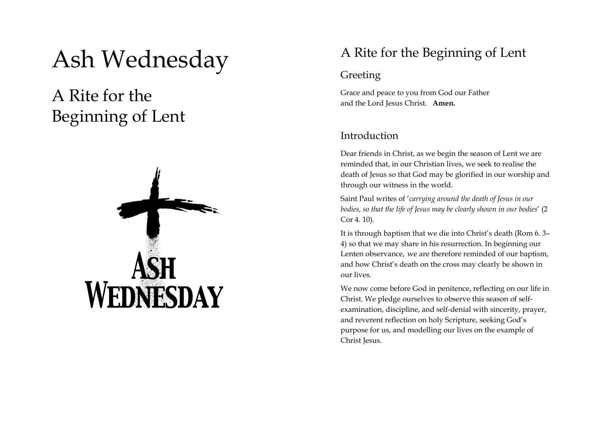# Ash Wednesday

## A Rite for the Beginning of Lent



## A Rite for the Beginning of Lent

## Greeting

Grace and peace to you from God our Father and the Lord Jesus Christ. **Amen.**

## Introduction

Dear friends in Christ, as we begin the season of Lent we are reminded that, in our Christian lives, we seek to realise the death of Jesus so that God may be glorified in our worship and through our witness in the world.

Saint Paul writes of '*carrying around the death of Jesus in our bodies, so that the life of Jesus may be clearly shown in our bodies*' (2 Cor 4. 10).

It is through baptism that we die into Christ's death (Rom 6. 3– 4) so that we may share in his resurrection. In beginning our Lenten observance, we are therefore reminded of our baptism, and how Christ's death on the cross may clearly be shown in our lives.

We now come before God in penitence, reflecting on our life in Christ. We pledge ourselves to observe this season of selfexamination, discipline, and self-denial with sincerity, prayer, and reverent reflection on holy Scripture, seeking God's purpose for us, and modelling our lives on the example of Christ Jesus.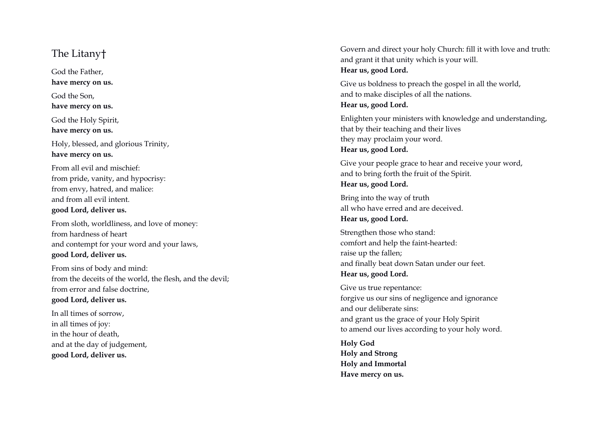#### The Litany †

God the Father, **have mercy on us.**

God the Son, **have mercy on us.**

God the Holy Spirit, **have mercy on us.**

Holy, blessed, and glorious Trinity, **have mercy on us.**

From all evil and mischief: from pride, vanity, and hypocrisy: from envy, hatred, and malice: and from all evil intent. **good Lord, deliver us.**

From sloth, worldliness, and love of money: from hardness of heart and contempt for your word and your laws, **good Lord, deliver us.**

From sins of body and mind: from the deceits of the world, the flesh, and the devil; from error and false doctrine, **good Lord, deliver us.**

In all times of sorrow, in all times of joy: in the hour of death, and at the day of judgement, **good Lord, deliver us.**

Govern and direct your holy Church: fill it with love and truth: and grant it that unity which is your will. **Hear us, good Lord.**

Give us boldness to preach the gospel in all the world, and to make disciples of all the nations. **Hear us, good Lord.**

Enlighten your ministers with knowledge and understanding, that by their teaching and their lives they may proclaim your word. **Hear us, good Lord.**

Give your people grace to hear and receive your word, and to bring forth the fruit of the Spirit. **Hear us, good Lord.**

Bring into the way of truth all who have erred and are deceived. **Hear us, good Lord.**

Strengthen those who stand: comfort and help the faint-hearted: raise up the fallen; and finally beat down Satan under our feet. **Hear us, good Lord.**

Give us true repentance: forgive us our sins of negligence and ignorance and our deliberate sins: and grant us the grace of your Holy Spirit to amend our lives according to your holy word.

**Holy God Holy and Strong Holy and Immortal Have mercy on us.**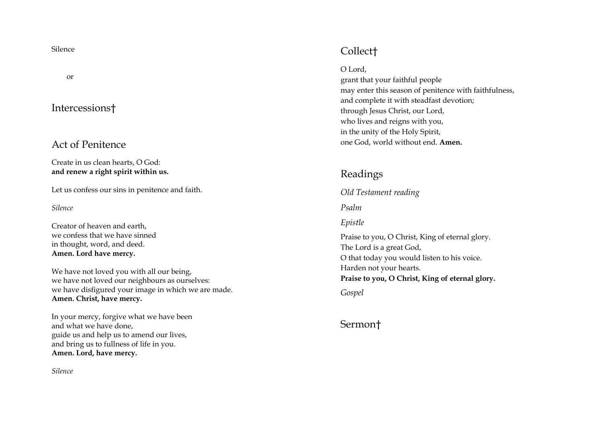Silence

or

#### Intercessions†

#### Act of Penitence

Create in us clean hearts, O God: **and renew a right spirit within us.**

Let us confess our sins in penitence and faith.

*Silence*

Creator of heaven and earth, we confess that we have sinned in thought, word, and deed. **Amen. Lord have mercy.**

We have not loved you with all our being, we have not loved our neighbours as ourselves: we have disfigured your image in which we are made. **Amen. Christ, have mercy.**

In your mercy, forgive what we have been and what we have done, guide us and help us to amend our lives, and bring us to fullness of life in you. **Amen. Lord, have mercy.**

Collect†

#### O Lord,

grant that your faithful people may enter this season of penitence with faithfulness, and complete it with steadfast devotion; through Jesus Christ, our Lord, who lives and reigns with you, in the unity of the Holy Spirit, one God, world without end. **Amen.**

### Readings

*Old Testament reading* 

*Psalm*

*Epistle* 

Praise to you, O Christ, King of eternal glory. The Lord is a great God, O that today you would listen to his voice. Harden not your hearts. **Praise to you, O Christ, King of eternal glory.**

*Gospel* 

Sermon†

*Silence*